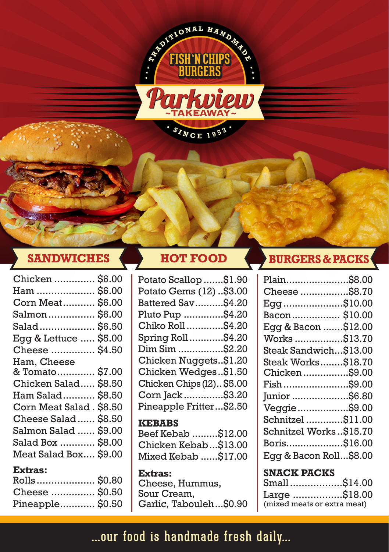

| Chicken  \$6.00          |  |
|--------------------------|--|
| Ham  \$6.00              |  |
| Corn Meat \$6.00         |  |
| Salmon \$6.00            |  |
| Salad \$6.50             |  |
| Egg & Lettuce  \$5.00    |  |
| Cheese  \$4.50           |  |
| Ham, Cheese              |  |
| & Tomato \$7.00          |  |
| Chicken Salad \$8.50     |  |
| Ham Salad \$8.50         |  |
| Corn Meat Salad . \$8.50 |  |
| Cheese Salad \$8.50      |  |
| Salmon Salad  \$9.00     |  |
| Salad Box  \$8.00        |  |
| Meat Salad Box \$9.00    |  |
| Extras:                  |  |

| <b>Extras:</b>   |  |
|------------------|--|
| Rolls \$0.80     |  |
| Cheese  \$0.50   |  |
| Pineapple \$0.50 |  |

Potato Scallop.......\$1.90 Potato Gems (12) ..\$3.00 Battered Sav..........\$4.20 Pluto Pup ..............\$4.20 Chiko Roll.............\$4.20 Spring Roll............\$4.20 Dim Sim ................\$2.20 Chicken Nuggets..\$1.20 Chicken Wedges..\$1.50 Chicken Chips (12).. \$5.00 Corn Jack..............\$3.20 Pineapple Fritter...\$2.50

### **KEBABS** Beef Kebab .........\$12.00

Chicken Kebab...\$13.00 Mixed Kebab ......\$17.00

**Extras:** Cheese, Hummus, Sour Cream, Garlic, Tabouleh...\$0.90

## **SANDWICHES HOT FOOD BURGERS & PACKS**

| Plain\$8.00            |  |
|------------------------|--|
| Cheese \$8.70          |  |
| Egg\$10.00             |  |
| Bacon \$10.00          |  |
| Egg & Bacon \$12.00    |  |
| Works \$13.70          |  |
| Steak Sandwich\$13.00  |  |
| Steak Works\$18.70     |  |
| Chicken\$9.00          |  |
| Fish\$9.00             |  |
| Junior \$6.80          |  |
| Veggie\$9.00           |  |
| Schnitzel\$11.00       |  |
| Schnitzel Works\$15.70 |  |
| Boris\$16.00           |  |
| Egg & Bacon Roll\$8.00 |  |
| <b>SNACK PACKS</b>     |  |
| Small\$14.00           |  |
| Large \$18.00          |  |

(mixed meats or extra meat)

# ...our food is handmade fresh daily...